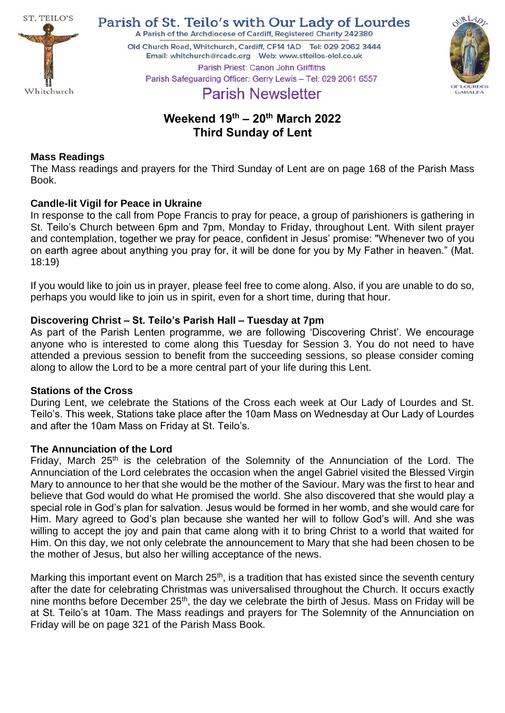

Parish of St. Teilo's with Our Lady of Lourdes

A Parish of the Archdiocese of Cardiff, Registered Charity 242380 Old Church Road, Whitchurch, Cardiff, CF14 1AD Tel: 029 2062 3444 Parish Priest: Canon John Griffiths



Parish Safeguarding Officer: Gerry Lewis - Tel: 029 2061 6557

# **Parish Newsletter**

## **Weekend 19 th – 20th March 2022 Third Sunday of Lent**

## **Mass Readings**

The Mass readings and prayers for the Third Sunday of Lent are on page 168 of the Parish Mass Book.

## **Candle-lit Vigil for Peace in Ukraine**

In response to the call from Pope Francis to pray for peace, a group of parishioners is gathering in St. Teilo's Church between 6pm and 7pm, Monday to Friday, throughout Lent. With silent prayer and contemplation, together we pray for peace, confident in Jesus' promise: "Whenever two of you on earth agree about anything you pray for, it will be done for you by My Father in heaven." (Mat. 18:19)

If you would like to join us in prayer, please feel free to come along. Also, if you are unable to do so, perhaps you would like to join us in spirit, even for a short time, during that hour.

## **Discovering Christ – St. Teilo's Parish Hall – Tuesday at 7pm**

As part of the Parish Lenten programme, we are following 'Discovering Christ'. We encourage anyone who is interested to come along this Tuesday for Session 3. You do not need to have attended a previous session to benefit from the succeeding sessions, so please consider coming along to allow the Lord to be a more central part of your life during this Lent.

## **Stations of the Cross**

During Lent, we celebrate the Stations of the Cross each week at Our Lady of Lourdes and St. Teilo's. This week, Stations take place after the 10am Mass on Wednesday at Our Lady of Lourdes and after the 10am Mass on Friday at St. Teilo's.

## **The Annunciation of the Lord**

Friday, March 25th is the celebration of the Solemnity of the Annunciation of the Lord. The Annunciation of the Lord celebrates the occasion when the angel Gabriel visited the Blessed Virgin Mary to announce to her that she would be the mother of the Saviour. Mary was the first to hear and believe that God would do what He promised the world. She also discovered that she would play a special role in God's plan for salvation. Jesus would be formed in her womb, and she would care for Him. Mary agreed to God's plan because she wanted her will to follow God's will. And she was willing to accept the joy and pain that came along with it to bring Christ to a world that waited for Him. On this day, we not only celebrate the announcement to Mary that she had been chosen to be the mother of Jesus, but also her willing acceptance of the news.

Marking this important event on March 25<sup>th</sup>, is a tradition that has existed since the seventh century after the date for celebrating Christmas was universalised throughout the Church. It occurs exactly nine months before December 25<sup>th</sup>, the day we celebrate the birth of Jesus. Mass on Friday will be at St. Teilo's at 10am. The Mass readings and prayers for The Solemnity of the Annunciation on Friday will be on page 321 of the Parish Mass Book.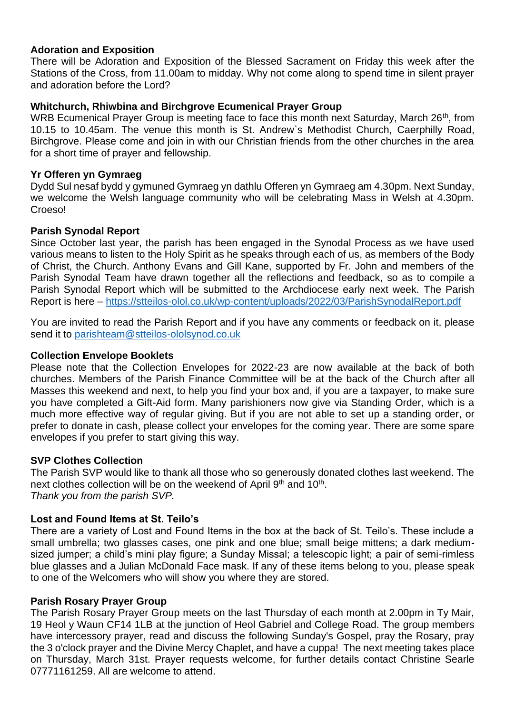#### **Adoration and Exposition**

There will be Adoration and Exposition of the Blessed Sacrament on Friday this week after the Stations of the Cross, from 11.00am to midday. Why not come along to spend time in silent prayer and adoration before the Lord?

#### **Whitchurch, Rhiwbina and Birchgrove Ecumenical Prayer Group**

WRB Ecumenical Prayer Group is meeting face to face this month next Saturday, March 26<sup>th</sup>, from 10.15 to 10.45am. The venue this month is St. Andrew`s Methodist Church, Caerphilly Road, Birchgrove. Please come and join in with our Christian friends from the other churches in the area for a short time of prayer and fellowship.

#### **Yr Offeren yn Gymraeg**

Dydd Sul nesaf bydd y gymuned Gymraeg yn dathlu Offeren yn Gymraeg am 4.30pm. Next Sunday, we welcome the Welsh language community who will be celebrating Mass in Welsh at 4.30pm. Croeso!

#### **Parish Synodal Report**

Since October last year, the parish has been engaged in the Synodal Process as we have used various means to listen to the Holy Spirit as he speaks through each of us, as members of the Body of Christ, the Church. Anthony Evans and Gill Kane, supported by Fr. John and members of the Parish Synodal Team have drawn together all the reflections and feedback, so as to compile a Parish Synodal Report which will be submitted to the Archdiocese early next week. The Parish Report is here – <https://stteilos-olol.co.uk/wp-content/uploads/2022/03/ParishSynodalReport.pdf>

You are invited to read the Parish Report and if you have any comments or feedback on it, please send it to [parishteam@stteilos-ololsynod.co.uk](mailto:parishteam@stteilos-ololsynod.co.uk)

#### **Collection Envelope Booklets**

Please note that the Collection Envelopes for 2022-23 are now available at the back of both churches. Members of the Parish Finance Committee will be at the back of the Church after all Masses this weekend and next, to help you find your box and, if you are a taxpayer, to make sure you have completed a Gift-Aid form. Many parishioners now give via Standing Order, which is a much more effective way of regular giving. But if you are not able to set up a standing order, or prefer to donate in cash, please collect your envelopes for the coming year. There are some spare envelopes if you prefer to start giving this way.

#### **SVP Clothes Collection**

The Parish SVP would like to thank all those who so generously donated clothes last weekend. The next clothes collection will be on the weekend of April 9<sup>th</sup> and 10<sup>th</sup>. *Thank you from the parish SVP.*

#### **Lost and Found Items at St. Teilo's**

There are a variety of Lost and Found Items in the box at the back of St. Teilo's. These include a small umbrella; two glasses cases, one pink and one blue; small beige mittens; a dark mediumsized jumper; a child's mini play figure; a Sunday Missal; a telescopic light; a pair of semi-rimless blue glasses and a Julian McDonald Face mask. If any of these items belong to you, please speak to one of the Welcomers who will show you where they are stored.

#### **Parish Rosary Prayer Group**

The Parish Rosary Prayer Group meets on the last Thursday of each month at 2.00pm in Ty Mair, 19 Heol y Waun CF14 1LB at the junction of Heol Gabriel and College Road. The group members have intercessory prayer, read and discuss the following Sunday's Gospel, pray the Rosary, pray the 3 o'clock prayer and the Divine Mercy Chaplet, and have a cuppa! The next meeting takes place on Thursday, March 31st. Prayer requests welcome, for further details contact Christine Searle 07771161259. All are welcome to attend.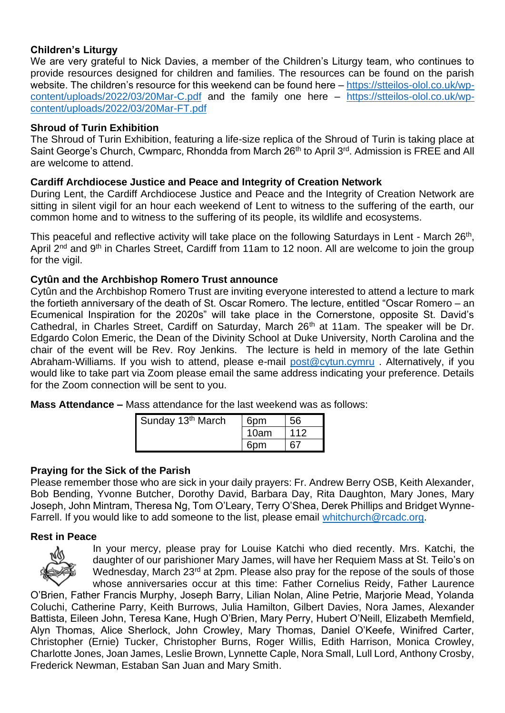### **Children's Liturgy**

We are very grateful to Nick Davies, a member of the Children's Liturgy team, who continues to provide resources designed for children and families. The resources can be found on the parish website. The children's resource for this weekend can be found here – [https://stteilos-olol.co.uk/wp](https://stteilos-olol.co.uk/wp-content/uploads/2022/03/20Mar-C.pdf)[content/uploads/2022/03/20Mar-C.pdf](https://stteilos-olol.co.uk/wp-content/uploads/2022/03/20Mar-C.pdf) and the family one here – [https://stteilos-olol.co.uk/wp](https://stteilos-olol.co.uk/wp-content/uploads/2022/03/20Mar-FT.pdf)[content/uploads/2022/03/20Mar-FT.pdf](https://stteilos-olol.co.uk/wp-content/uploads/2022/03/20Mar-FT.pdf) 

#### **Shroud of Turin Exhibition**

The Shroud of Turin Exhibition, featuring a life-size replica of the Shroud of Turin is taking place at Saint George's Church, Cwmparc, Rhondda from March 26<sup>th</sup> to April 3<sup>rd</sup>. Admission is FREE and All are welcome to attend.

#### **Cardiff Archdiocese Justice and Peace and Integrity of Creation Network**

During Lent, the Cardiff Archdiocese Justice and Peace and the Integrity of Creation Network are sitting in silent vigil for an hour each weekend of Lent to witness to the suffering of the earth, our common home and to witness to the suffering of its people, its wildlife and ecosystems.

This peaceful and reflective activity will take place on the following Saturdays in Lent - March 26<sup>th</sup>, April 2<sup>nd</sup> and 9<sup>th</sup> in Charles Street, Cardiff from 11am to 12 noon. All are welcome to join the group for the vigil.

#### **Cytûn and the Archbishop Romero Trust announce**

Cytûn and the Archbishop Romero Trust are inviting everyone interested to attend a lecture to mark the fortieth anniversary of the death of St. Oscar Romero. The lecture, entitled "Oscar Romero – an Ecumenical Inspiration for the 2020s" will take place in the Cornerstone, opposite St. David's Cathedral, in Charles Street, Cardiff on Saturday, March 26<sup>th</sup> at 11am. The speaker will be Dr. Edgardo Colon Emeric, the Dean of the Divinity School at Duke University, North Carolina and the chair of the event will be Rev. Roy Jenkins. The lecture is held in memory of the late Gethin Abraham-Williams. If you wish to attend, please e-mail [post@cytun.cymru](mailto:post@cytun.cymru). Alternatively, if you would like to take part via Zoom please email the same address indicating your preference. Details for the Zoom connection will be sent to you.

**Mass Attendance –** Mass attendance for the last weekend was as follows:

| Sunday 13 <sup>th</sup> March | 6 <sub>pm</sub> | 56  |
|-------------------------------|-----------------|-----|
|                               | 10am            | 112 |
|                               | հոm             |     |

#### **Praying for the Sick of the Parish**

Please remember those who are sick in your daily prayers: Fr. Andrew Berry OSB, Keith Alexander, Bob Bending, Yvonne Butcher, Dorothy David, Barbara Day, Rita Daughton, Mary Jones, Mary Joseph, John Mintram, Theresa Ng, Tom O'Leary, Terry O'Shea, Derek Phillips and Bridget WynneFarrell. If you would like to add someone to the list, please email [whitchurch@rcadc.org.](mailto:whitchurch@rcadc.org)

#### **Rest in Peace**



In your mercy, please pray for Louise Katchi who died recently. Mrs. Katchi, the daughter of our parishioner Mary James, will have her Requiem Mass at St. Teilo's on Wednesday, March 23<sup>rd</sup> at 2pm. Please also pray for the repose of the souls of those whose anniversaries occur at this time: Father Cornelius Reidy, Father Laurence

O'Brien, Father Francis Murphy, Joseph Barry, Lilian Nolan, Aline Petrie, Marjorie Mead, Yolanda Coluchi, Catherine Parry, Keith Burrows, Julia Hamilton, Gilbert Davies, Nora James, Alexander Battista, Eileen John, Teresa Kane, Hugh O'Brien, Mary Perry, Hubert O'Neill, Elizabeth Memfield, Alyn Thomas, Alice Sherlock, John Crowley, Mary Thomas, Daniel O'Keefe, Winifred Carter, Christopher (Ernie) Tucker, Christopher Burns, Roger Willis, Edith Harrison, Monica Crowley, Charlotte Jones, Joan James, Leslie Brown, Lynnette Caple, Nora Small, Lull Lord, Anthony Crosby, Frederick Newman, Estaban San Juan and Mary Smith.